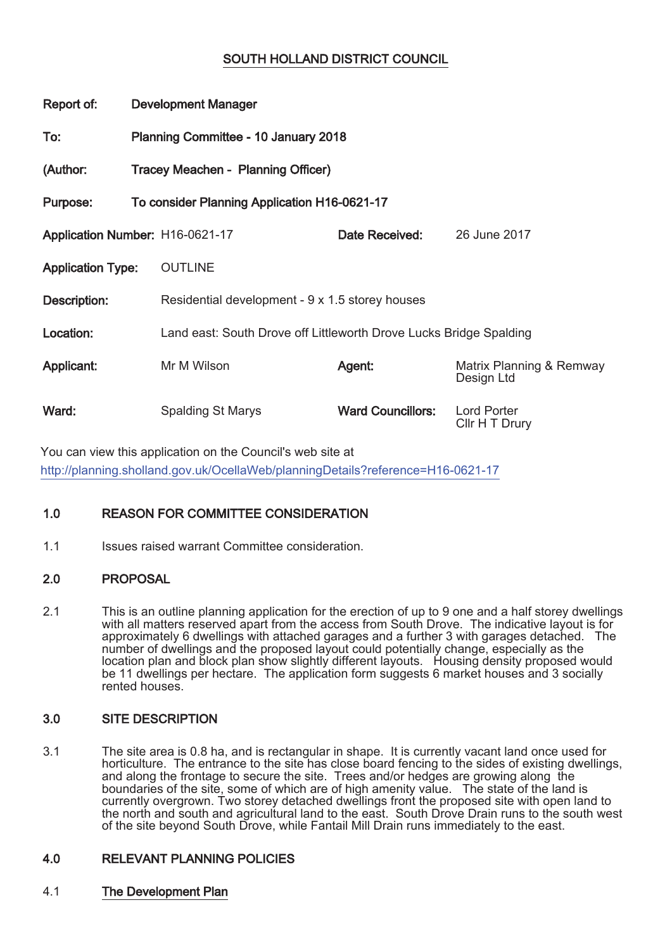# SOUTH HOLLAND DISTRICT COUNCIL

| Report of:                      | <b>Development Manager</b>                   |                                                                    |                          |                                        |
|---------------------------------|----------------------------------------------|--------------------------------------------------------------------|--------------------------|----------------------------------------|
| To:                             | <b>Planning Committee - 10 January 2018</b>  |                                                                    |                          |                                        |
| (Author:                        | Tracey Meachen - Planning Officer)           |                                                                    |                          |                                        |
| Purpose:                        | To consider Planning Application H16-0621-17 |                                                                    |                          |                                        |
| Application Number: H16-0621-17 |                                              |                                                                    | Date Received:           | 26 June 2017                           |
| <b>Application Type:</b>        |                                              | <b>OUTLINE</b>                                                     |                          |                                        |
| Description:                    |                                              | Residential development - 9 x 1.5 storey houses                    |                          |                                        |
| Location:                       |                                              | Land east: South Drove off Littleworth Drove Lucks Bridge Spalding |                          |                                        |
| Applicant:                      |                                              | Mr M Wilson                                                        | Agent:                   | Matrix Planning & Remway<br>Design Ltd |
| Ward:                           |                                              | <b>Spalding St Marys</b>                                           | <b>Ward Councillors:</b> | <b>Lord Porter</b><br>Cllr H T Drury   |

You can view this application on the Council's web site at http://planning.sholland.gov.uk/OcellaWeb/planningDetails?reference=H16-0621-17

# 1.0 REASON FOR COMMITTEE CONSIDERATION

1.1 **Issues raised warrant Committee consideration.** 

# 2.0 PROPOSAL

2.1 This is an outline planning application for the erection of up to 9 one and a half storey dwellings with all matters reserved apart from the access from South Drove. The indicative layout is for approximately 6 dwellings with attached garages and a further 3 with garages detached. The number of dwellings and the proposed layout could potentially change, especially as the location plan and block plan show slightly different layouts. Housing density proposed would be 11 dwellings per hectare. The application form suggests 6 market houses and 3 socially rented houses.

# 3.0 SITE DESCRIPTION

3.1 The site area is 0.8 ha, and is rectangular in shape. It is currently vacant land once used for horticulture. The entrance to the site has close board fencing to the sides of existing dwellings, and along the frontage to secure the site. Trees and/or hedges are growing along the boundaries of the site, some of which are of high amenity value. The state of the land is currently overgrown. Two storey detached dwellings front the proposed site with open land to the north and south and agricultural land to the east. South Drove Drain runs to the south west of the site beyond South Drove, while Fantail Mill Drain runs immediately to the east.

# 4.0 RELEVANT PLANNING POLICIES

# 4.1 The Development Plan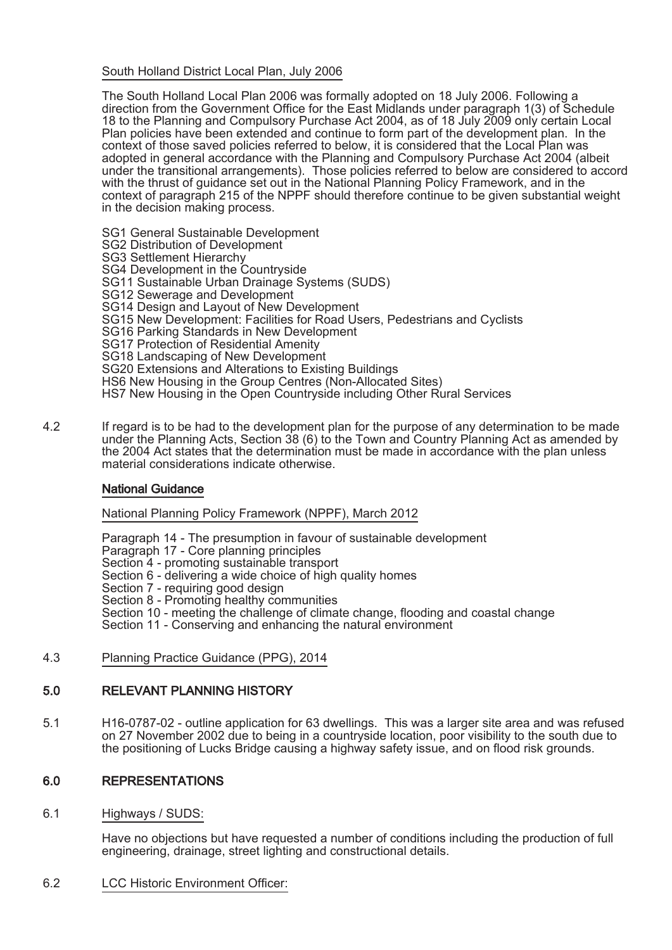# South Holland District Local Plan, July 2006

The South Holland Local Plan 2006 was formally adopted on 18 July 2006. Following a direction from the Government Office for the East Midlands under paragraph 1(3) of Schedule 18 to the Planning and Compulsory Purchase Act 2004, as of 18 July 2009 only certain Local Plan policies have been extended and continue to form part of the development plan. In the context of those saved policies referred to below, it is considered that the Local Plan was adopted in general accordance with the Planning and Compulsory Purchase Act 2004 (albeit under the transitional arrangements). Those policies referred to below are considered to accord with the thrust of guidance set out in the National Planning Policy Framework, and in the context of paragraph 215 of the NPPF should therefore continue to be given substantial weight in the decision making process.

SG1 General Sustainable Development SG2 Distribution of Development SG3 Settlement Hierarchy SG4 Development in the Countryside SG11 Sustainable Urban Drainage Systems (SUDS) SG12 Sewerage and Development SG14 Design and Layout of New Development SG15 New Development: Facilities for Road Users, Pedestrians and Cyclists SG16 Parking Standards in New Development SG17 Protection of Residential Amenity SG18 Landscaping of New Development SG20 Extensions and Alterations to Existing Buildings HS6 New Housing in the Group Centres (Non-Allocated Sites) HS7 New Housing in the Open Countryside including Other Rural Services

4.2 If regard is to be had to the development plan for the purpose of any determination to be made under the Planning Acts, Section 38 (6) to the Town and Country Planning Act as amended by the 2004 Act states that the determination must be made in accordance with the plan unless material considerations indicate otherwise.

# National Guidance

National Planning Policy Framework (NPPF), March 2012

Paragraph 14 - The presumption in favour of sustainable development

- Paragraph 17 Core planning principles
- Section 4 promoting sustainable transport
- Section 6 delivering a wide choice of high quality homes
- Section 7 requiring good design
- Section 8 Promoting healthy communities
- Section 10 meeting the challenge of climate change, flooding and coastal change
- Section 11 Conserving and enhancing the natural environment
- 4.3 Planning Practice Guidance (PPG), 2014

# 5.0 RELEVANT PLANNING HISTORY

5.1 H16-0787-02 - outline application for 63 dwellings. This was a larger site area and was refused on 27 November 2002 due to being in a countryside location, poor visibility to the south due to the positioning of Lucks Bridge causing a highway safety issue, and on flood risk grounds.

# 6.0 REPRESENTATIONS

6.1 Highways / SUDS:

Have no objections but have requested a number of conditions including the production of full engineering, drainage, street lighting and constructional details.

6.2 LCC Historic Environment Officer: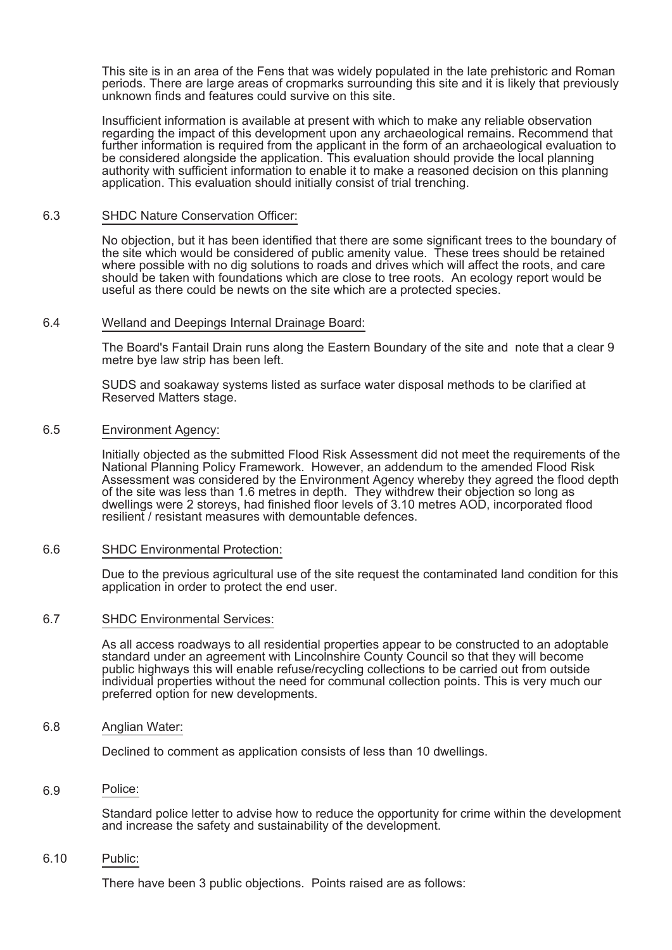This site is in an area of the Fens that was widely populated in the late prehistoric and Roman periods. There are large areas of cropmarks surrounding this site and it is likely that previously unknown finds and features could survive on this site.

Insufficient information is available at present with which to make any reliable observation regarding the impact of this development upon any archaeological remains. Recommend that further information is required from the applicant in the form of an archaeological evaluation to be considered alongside the application. This evaluation should provide the local planning authority with sufficient information to enable it to make a reasoned decision on this planning application. This evaluation should initially consist of trial trenching.

#### 6.3 SHDC Nature Conservation Officer:

No objection, but it has been identified that there are some significant trees to the boundary of the site which would be considered of public amenity value. These trees should be retained where possible with no dig solutions to roads and drives which will affect the roots, and care should be taken with foundations which are close to tree roots. An ecology report would be useful as there could be newts on the site which are a protected species.

### 6.4 Welland and Deepings Internal Drainage Board:

The Board's Fantail Drain runs along the Eastern Boundary of the site and note that a clear 9 metre bye law strip has been left.

SUDS and soakaway systems listed as surface water disposal methods to be clarified at Reserved Matters stage.

### 6.5 Environment Agency:

Initially objected as the submitted Flood Risk Assessment did not meet the requirements of the National Planning Policy Framework. However, an addendum to the amended Flood Risk Assessment was considered by the Environment Agency whereby they agreed the flood depth of the site was less than 1.6 metres in depth. They withdrew their objection so long as dwellings were 2 storeys, had finished floor levels of 3.10 metres AOD, incorporated flood resilient / resistant measures with demountable defences.

#### 6.6 SHDC Environmental Protection:

Due to the previous agricultural use of the site request the contaminated land condition for this application in order to protect the end user.

#### 6.7 SHDC Environmental Services:

As all access roadways to all residential properties appear to be constructed to an adoptable standard under an agreement with Lincolnshire County Council so that they will become public highways this will enable refuse/recycling collections to be carried out from outside individual properties without the need for communal collection points. This is very much our preferred option for new developments.

#### 6.8 Anglian Water:

Declined to comment as application consists of less than 10 dwellings.

#### Police: 6.

Standard police letter to advise how to reduce the opportunity for crime within the development and increase the safety and sustainability of the development.

6.10 Public:

There have been 3 public objections. Points raised are as follows: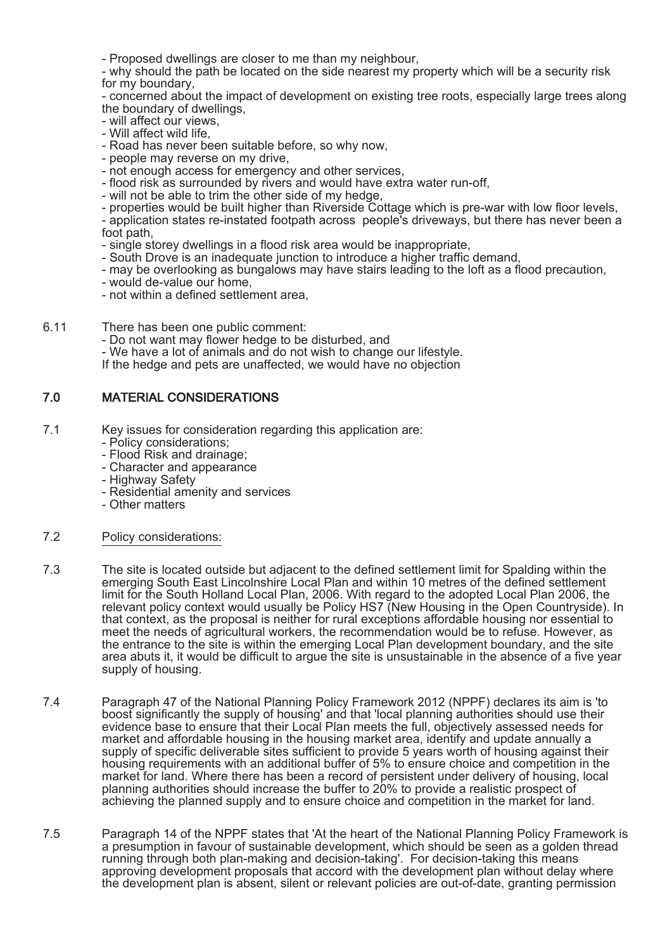- Proposed dwellings are closer to me than my neighbour,

- why should the path be located on the side nearest my property which will be a security risk for my boundary,

- concerned about the impact of development on existing tree roots, especially large trees along the boundary of dwellings,

- will affect our views,
- Will affect wild life,
- Road has never been suitable before, so why now,
- people may reverse on my drive,
- not enough access for emergency and other services,
- flood risk as surrounded by rivers and would have extra water run-off,
- will not be able to trim the other side of my hedge,
- properties would be built higher than Riverside Cottage which is pre-war with low floor levels,

- application states re-instated footpath across people's driveways, but there has never been a foot path,

- single storey dwellings in a flood risk area would be inappropriate,
- South Drove is an inadequate junction to introduce a higher traffic demand,
- may be overlooking as bungalows may have stairs leading to the loft as a flood precaution,
- would de-value our home,
- not within a defined settlement area,
- 6.1 There has been one public comment:
	- Do not want may flower hedge to be disturbed, and
	- We have a lot of animals and do not wish to change our lifestyle.
	- If the hedge and pets are unaffected, we would have no objection

### 7.0 MATERIAL CONSIDERATIONS

- 7.1 Key issues for consideration regarding this application are:
	- Policy considerations;
	- Flood Risk and drainage;
	- Character and appearance
	- Highway Safety
	- Residential amenity and services
	- Other matters
- 7.2 Policy considerations:
- 7.3 The site is located outside but adjacent to the defined settlement limit for Spalding within the emerging South East Lincolnshire Local Plan and within 10 metres of the defined settlement limit for the South Holland Local Plan, 2006. With regard to the adopted Local Plan 2006, the relevant policy context would usually be Policy HS7 (New Housing in the Open Countryside). In that context, as the proposal is neither for rural exceptions affordable housing nor essential to meet the needs of agricultural workers, the recommendation would be to refuse. However, as the entrance to the site is within the emerging Local Plan development boundary, and the site area abuts it, it would be difficult to argue the site is unsustainable in the absence of a five year supply of housing.
- 7.4 Paragraph 47 of the National Planning Policy Framework 2012 (NPPF) declares its aim is 'to boost significantly the supply of housing' and that 'local planning authorities should use their evidence base to ensure that their Local Plan meets the full, objectively assessed needs for market and affordable housing in the housing market area, identify and update annually a supply of specific deliverable sites sufficient to provide 5 years worth of housing against their housing requirements with an additional buffer of 5% to ensure choice and competition in the market for land. Where there has been a record of persistent under delivery of housing, local planning authorities should increase the buffer to 20% to provide a realistic prospect of achieving the planned supply and to ensure choice and competition in the market for land.
- 7.5 Paragraph 14 of the NPPF states that 'At the heart of the National Planning Policy Framework is a presumption in favour of sustainable development, which should be seen as a golden thread running through both plan-making and decision-taking'. For decision-taking this means approving development proposals that accord with the development plan without delay where the development plan is absent, silent or relevant policies are out-of-date, granting permission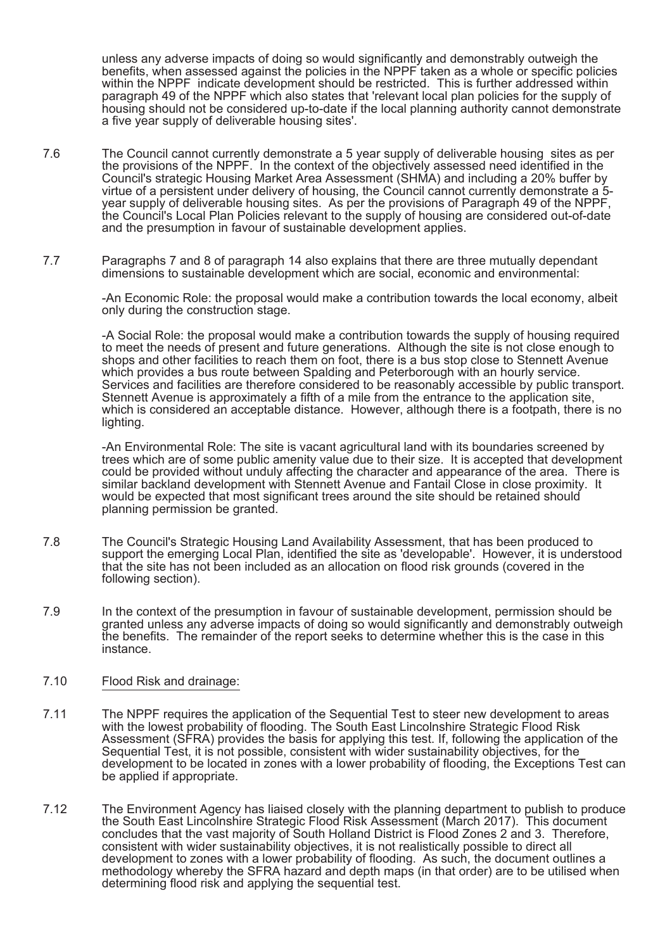unless any adverse impacts of doing so would significantly and demonstrably outweigh the benefits, when assessed against the policies in the NPPF taken as a whole or specific policies within the NPPF indicate development should be restricted. This is further addressed within paragraph 49 of the NPPF which also states that 'relevant local plan policies for the supply of housing should not be considered up-to-date if the local planning authority cannot demonstrate a five year supply of deliverable housing sites'.

- 7.6 The Council cannot currently demonstrate a 5 year supply of deliverable housing sites as per the provisions of the NPPF. In the context of the objectively assessed need identified in the Council's strategic Housing Market Area Assessment (SHMA) and including a 20% buffer by virtue of a persistent under delivery of housing, the Council cannot currently demonstrate a 5 year supply of deliverable housing sites. As per the provisions of Paragraph 49 of the NPPF, the Council's Local Plan Policies relevant to the supply of housing are considered out-of-date and the presumption in favour of sustainable development applies.
- 7.7 Paragraphs 7 and 8 of paragraph 14 also explains that there are three mutually dependant dimensions to sustainable development which are social, economic and environmental:

-An Economic Role: the proposal would make a contribution towards the local economy, albeit only during the construction stage.

-A Social Role: the proposal would make a contribution towards the supply of housing required to meet the needs of present and future generations. Although the site is not close enough to shops and other facilities to reach them on foot, there is a bus stop close to Stennett Avenue which provides a bus route between Spalding and Peterborough with an hourly service. Services and facilities are therefore considered to be reasonably accessible by public transport. Stennett Avenue is approximately a fifth of a mile from the entrance to the application site, which is considered an acceptable distance. However, although there is a footpath, there is no lighting.

-An Environmental Role: The site is vacant agricultural land with its boundaries screened by trees which are of some public amenity value due to their size. It is accepted that development could be provided without unduly affecting the character and appearance of the area. There is similar backland development with Stennett Avenue and Fantail Close in close proximity. It would be expected that most significant trees around the site should be retained should planning permission be granted.

- 7.8 The Council's Strategic Housing Land Availability Assessment, that has been produced to support the emerging Local Plan, identified the site as 'developable'. However, it is understood that the site has not been included as an allocation on flood risk grounds (covered in the following section).
- 7.9 In the context of the presumption in favour of sustainable development, permission should be granted unless any adverse impacts of doing so would significantly and demonstrably outweigh the benefits. The remainder of the report seeks to determine whether this is the case in this instance.

#### 7.10 Flood Risk and drainage:

- 7.11 The NPPF requires the application of the Sequential Test to steer new development to areas with the lowest probability of flooding. The South East Lincolnshire Strategic Flood Risk Assessment (SFRA) provides the basis for applying this test. If, following the application of the Sequential Test, it is not possible, consistent with wider sustainability objectives, for the development to be located in zones with a lower probability of flooding, the Exceptions Test can be applied if appropriate.
- 7.12 The Environment Agency has liaised closely with the planning department to publish to produce the South East Lincolnshire Strategic Flood Risk Assessment (March 2017). This document concludes that the vast majority of South Holland District is Flood Zones 2 and 3. Therefore, consistent with wider sustainability objectives, it is not realistically possible to direct all development to zones with a lower probability of flooding. As such, the document outlines a methodology whereby the SFRA hazard and depth maps (in that order) are to be utilised when determining flood risk and applying the sequential test.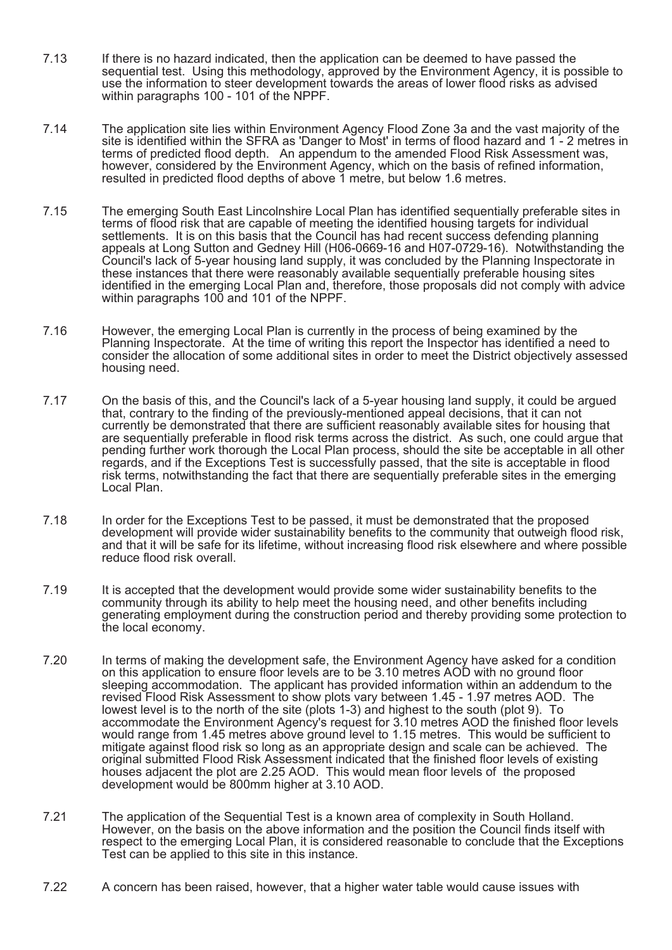- 7.13 If there is no hazard indicated, then the application can be deemed to have passed the sequential test. Using this methodology, approved by the Environment Agency, it is possible to use the information to steer development towards the areas of lower flood risks as advised within paragraphs 100 - 101 of the NPPF.
- 7.14 The application site lies within Environment Agency Flood Zone 3a and the vast majority of the site is identified within the SFRA as 'Danger to Most' in terms of flood hazard and 1 - 2 metres in terms of predicted flood depth. An appendum to the amended Flood Risk Assessment was, however, considered by the Environment Agency, which on the basis of refined information, resulted in predicted flood depths of above 1 metre, but below 1.6 metres.
- 7.15 The emerging South East Lincolnshire Local Plan has identified sequentially preferable sites in terms of flood risk that are capable of meeting the identified housing targets for individual settlements. It is on this basis that the Council has had recent success defending planning appeals at Long Sutton and Gedney Hill (H06-0669-16 and H07-0729-16). Notwithstanding the Council's lack of 5-year housing land supply, it was concluded by the Planning Inspectorate in these instances that there were reasonably available sequentially preferable housing sites identified in the emerging Local Plan and, therefore, those proposals did not comply with advice within paragraphs 100 and 101 of the NPPF.
- 7.16 However, the emerging Local Plan is currently in the process of being examined by the Planning Inspectorate. At the time of writing this report the Inspector has identified a need to consider the allocation of some additional sites in order to meet the District objectively assessed housing need.
- 7.17 On the basis of this, and the Council's lack of a 5-year housing land supply, it could be argued that, contrary to the finding of the previously-mentioned appeal decisions, that it can not currently be demonstrated that there are sufficient reasonably available sites for housing that are sequentially preferable in flood risk terms across the district. As such, one could argue that pending further work thorough the Local Plan process, should the site be acceptable in all other regards, and if the Exceptions Test is successfully passed, that the site is acceptable in flood risk terms, notwithstanding the fact that there are sequentially preferable sites in the emerging Local Plan.
- 7.18 In order for the Exceptions Test to be passed, it must be demonstrated that the proposed development will provide wider sustainability benefits to the community that outweigh flood risk, and that it will be safe for its lifetime, without increasing flood risk elsewhere and where possible reduce flood risk overall.
- 7.19 It is accepted that the development would provide some wider sustainability benefits to the community through its ability to help meet the housing need, and other benefits including generating employment during the construction period and thereby providing some protection to the local economy.
- 7.20 In terms of making the development safe, the Environment Agency have asked for a condition on this application to ensure floor levels are to be 3.10 metres AOD with no ground floor sleeping accommodation. The applicant has provided information within an addendum to the revised Flood Risk Assessment to show plots vary between 1.45 - 1.97 metres AOD. The lowest level is to the north of the site (plots 1-3) and highest to the south (plot 9). To accommodate the Environment Agency's request for 3.10 metres AOD the finished floor levels would range from 1.45 metres above ground level to 1.15 metres. This would be sufficient to mitigate against flood risk so long as an appropriate design and scale can be achieved. The original submitted Flood Risk Assessment indicated that the finished floor levels of existing houses adjacent the plot are 2.25 AOD. This would mean floor levels of the proposed development would be 800mm higher at 3.10 AOD.
- 7.21 The application of the Sequential Test is a known area of complexity in South Holland. However, on the basis on the above information and the position the Council finds itself with respect to the emerging Local Plan, it is considered reasonable to conclude that the Exceptions Test can be applied to this site in this instance.
- 7.22 A concern has been raised, however, that a higher water table would cause issues with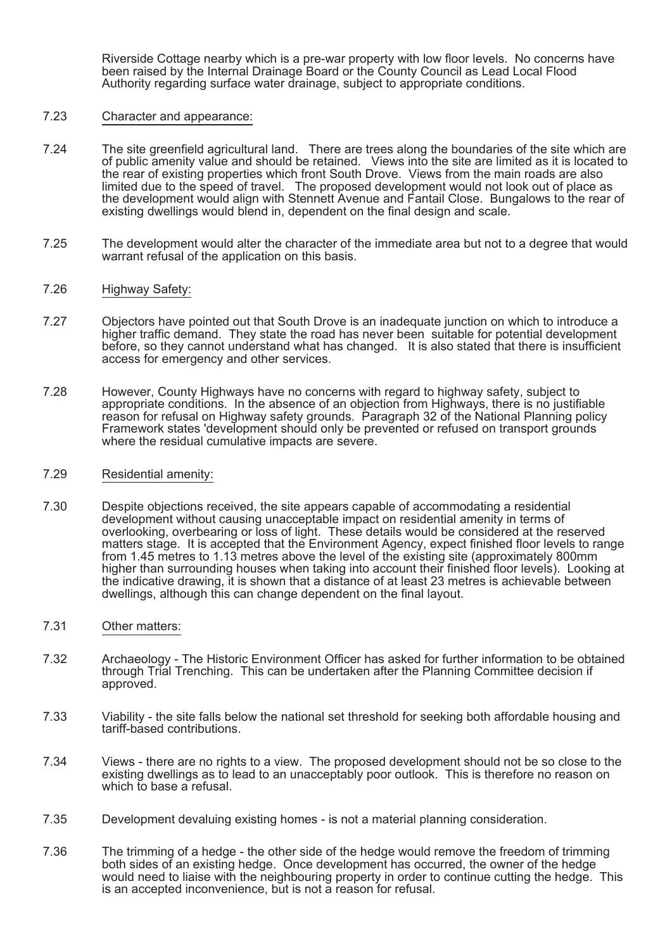Riverside Cottage nearby which is a pre-war property with low floor levels. No concerns have been raised by the Internal Drainage Board or the County Council as Lead Local Flood Authority regarding surface water drainage, subject to appropriate conditions.

#### 7.23 Character and appearance:

- 7.24 The site greenfield agricultural land. There are trees along the boundaries of the site which are of public amenity value and should be retained. Views into the site are limited as it is located to the rear of existing properties which front South Drove. Views from the main roads are also limited due to the speed of travel. The proposed development would not look out of place as the development would align with Stennett Avenue and Fantail Close. Bungalows to the rear of existing dwellings would blend in, dependent on the final design and scale.
- 7.25 The development would alter the character of the immediate area but not to a degree that would warrant refusal of the application on this basis.
- 7.26 Highway Safety:
- 7.27 Objectors have pointed out that South Drove is an inadequate junction on which to introduce a higher traffic demand. They state the road has never been suitable for potential development before, so they cannot understand what has changed. It is also stated that there is insufficient access for emergency and other services.
- 7.28 However, County Highways have no concerns with regard to highway safety, subject to appropriate conditions. In the absence of an objection from Highways, there is no justifiable reason for refusal on Highway safety grounds. Paragraph 32 of the National Planning policy Framework states 'development should only be prevented or refused on transport grounds where the residual cumulative impacts are severe.
- 7.29 Residential amenity:
- 7.30 Despite objections received, the site appears capable of accommodating a residential development without causing unacceptable impact on residential amenity in terms of overlooking, overbearing or loss of light. These details would be considered at the reserved matters stage. It is accepted that the Environment Agency, expect finished floor levels to range from 1.45 metres to 1.13 metres above the level of the existing site (approximately 800mm higher than surrounding houses when taking into account their finished floor levels). Looking at the indicative drawing, it is shown that a distance of at least 23 metres is achievable between dwellings, although this can change dependent on the final layout.
- 7.31 Other matters:
- 7.32 Archaeology The Historic Environment Officer has asked for further information to be obtained through Trial Trenching. This can be undertaken after the Planning Committee decision if approved.
- 7.33 Viability the site falls below the national set threshold for seeking both affordable housing and tariff-based contributions.
- 7.34 Views there are no rights to a view. The proposed development should not be so close to the existing dwellings as to lead to an unacceptably poor outlook. This is therefore no reason on which to base a refusal.
- 7.35 Development devaluing existing homes is not a material planning consideration.
- 7.36 The trimming of a hedge the other side of the hedge would remove the freedom of trimming both sides of an existing hedge. Once development has occurred, the owner of the hedge would need to liaise with the neighbouring property in order to continue cutting the hedge. This is an accepted inconvenience, but is not a reason for refusal.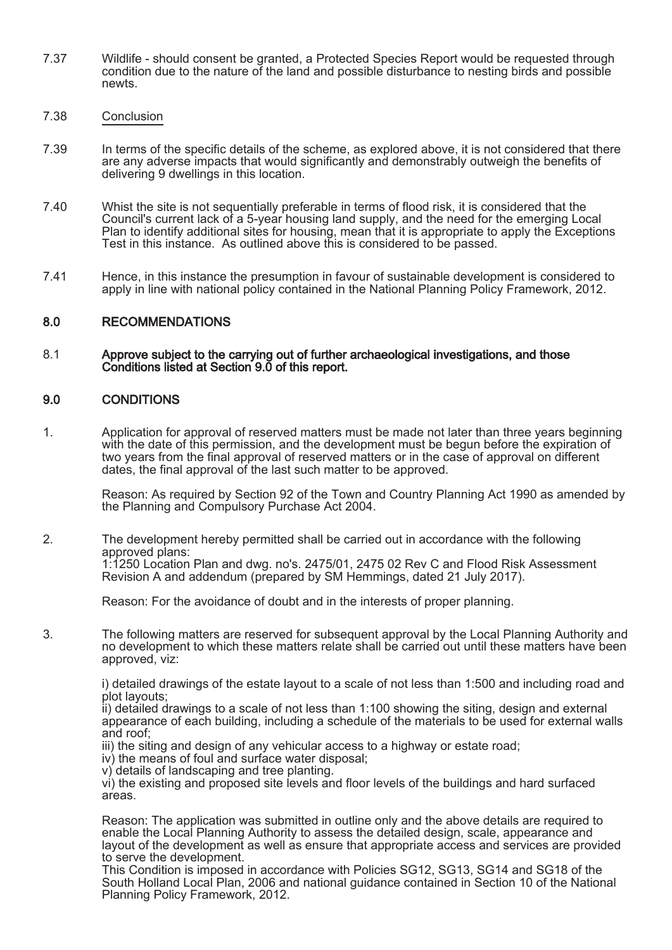- 7.37 Wildlife should consent be granted, a Protected Species Report would be requested through condition due to the nature of the land and possible disturbance to nesting birds and possible newts.
- 7.38 Conclusion
- 7.39 In terms of the specific details of the scheme, as explored above, it is not considered that there are any adverse impacts that would significantly and demonstrably outweigh the benefits of delivering 9 dwellings in this location.
- 7.40 Whist the site is not sequentially preferable in terms of flood risk, it is considered that the Council's current lack of a 5-year housing land supply, and the need for the emerging Local Plan to identify additional sites for housing, mean that it is appropriate to apply the Exceptions Test in this instance. As outlined above this is considered to be passed.
- 7.41 Hence, in this instance the presumption in favour of sustainable development is considered to apply in line with national policy contained in the National Planning Policy Framework, 2012.

# 8.0 RECOMMENDATIONS

#### 8.1 Approve subject to the carrying out of further archaeological investigations, and those Conditions listed at Section 9.0 of this report.

### 9.0 CONDITIONS

1. Application for approval of reserved matters must be made not later than three years beginning with the date of this permission, and the development must be begun before the expiration of two years from the final approval of reserved matters or in the case of approval on different dates, the final approval of the last such matter to be approved.

Reason: As required by Section 92 of the Town and Country Planning Act 1990 as amended by the Planning and Compulsory Purchase Act 2004.

2. The development hereby permitted shall be carried out in accordance with the following approved plans: 1:1250 Location Plan and dwg. no's. 2475/01, 2475 02 Rev C and Flood Risk Assessment Revision A and addendum (prepared by SM Hemmings, dated 21 July 2017).

Reason: For the avoidance of doubt and in the interests of proper planning.

3. The following matters are reserved for subsequent approval by the Local Planning Authority and no development to which these matters relate shall be carried out until these matters have been approved, viz:

i) detailed drawings of the estate layout to a scale of not less than 1:500 and including road and plot layouts;

ii) detailed drawings to a scale of not less than 1:100 showing the siting, design and external appearance of each building, including a schedule of the materials to be used for external walls and roof;

iii) the siting and design of any vehicular access to a highway or estate road;

iv) the means of foul and surface water disposal;

v) details of landscaping and tree planting.

vi) the existing and proposed site levels and floor levels of the buildings and hard surfaced areas.

Reason: The application was submitted in outline only and the above details are required to enable the Local Planning Authority to assess the detailed design, scale, appearance and layout of the development as well as ensure that appropriate access and services are provided to serve the development.

This Condition is imposed in accordance with Policies SG12, SG13, SG14 and SG18 of the South Holland Local Plan, 2006 and national guidance contained in Section 10 of the National Planning Policy Framework, 2012.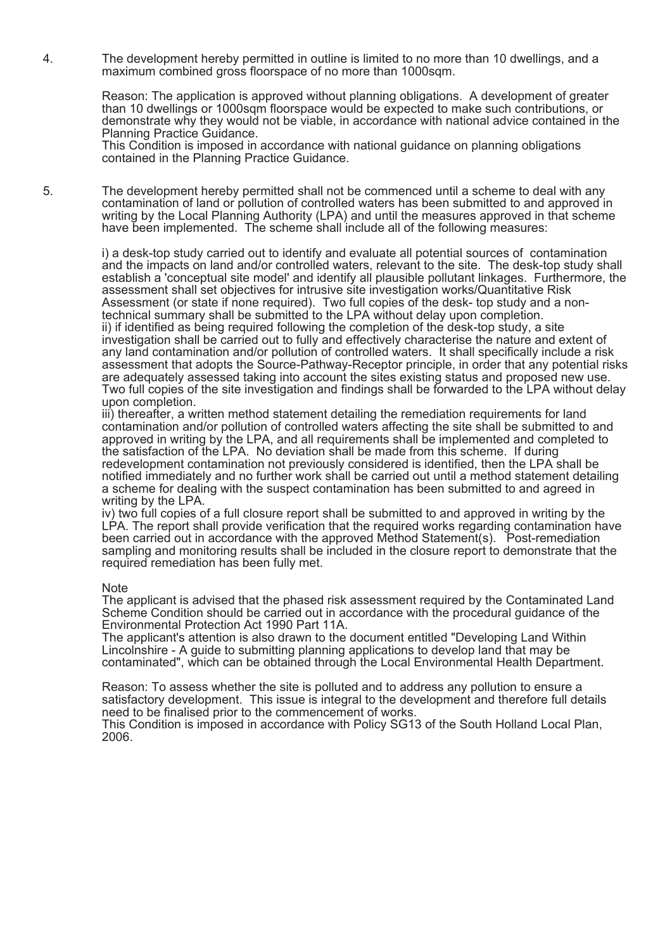4. The development hereby permitted in outline is limited to no more than 10 dwellings, and a maximum combined gross floorspace of no more than 1000sqm.

> Reason: The application is approved without planning obligations. A development of greater than 10 dwellings or 1000sqm floorspace would be expected to make such contributions, or demonstrate why they would not be viable, in accordance with national advice contained in the Planning Practice Guidance.

This Condition is imposed in accordance with national guidance on planning obligations contained in the Planning Practice Guidance.

5. The development hereby permitted shall not be commenced until a scheme to deal with any contamination of land or pollution of controlled waters has been submitted to and approved in writing by the Local Planning Authority (LPA) and until the measures approved in that scheme have been implemented. The scheme shall include all of the following measures:

> i) a desk-top study carried out to identify and evaluate all potential sources of contamination and the impacts on land and/or controlled waters, relevant to the site. The desk-top study shall establish a 'conceptual site model' and identify all plausible pollutant linkages. Furthermore, the assessment shall set objectives for intrusive site investigation works/Quantitative Risk Assessment (or state if none required). Two full copies of the desk- top study and a nontechnical summary shall be submitted to the LPA without delay upon completion. ii) if identified as being required following the completion of the desk-top study, a site investigation shall be carried out to fully and effectively characterise the nature and extent of any land contamination and/or pollution of controlled waters. It shall specifically include a risk assessment that adopts the Source-Pathway-Receptor principle, in order that any potential risks are adequately assessed taking into account the sites existing status and proposed new use. Two full copies of the site investigation and findings shall be forwarded to the LPA without delay upon completion.

iii) thereafter, a written method statement detailing the remediation requirements for land contamination and/or pollution of controlled waters affecting the site shall be submitted to and approved in writing by the LPA, and all requirements shall be implemented and completed to the satisfaction of the LPA. No deviation shall be made from this scheme. If during redevelopment contamination not previously considered is identified, then the LPA shall be notified immediately and no further work shall be carried out until a method statement detailing a scheme for dealing with the suspect contamination has been submitted to and agreed in writing by the LPA.

iv) two full copies of a full closure report shall be submitted to and approved in writing by the LPA. The report shall provide verification that the required works regarding contamination have been carried out in accordance with the approved Method Statement(s). Post-remediation sampling and monitoring results shall be included in the closure report to demonstrate that the required remediation has been fully met.

#### Note

The applicant is advised that the phased risk assessment required by the Contaminated Land Scheme Condition should be carried out in accordance with the procedural guidance of the Environmental Protection Act 1990 Part 11A.

The applicant's attention is also drawn to the document entitled "Developing Land Within Lincolnshire - A guide to submitting planning applications to develop land that may be contaminated", which can be obtained through the Local Environmental Health Department.

Reason: To assess whether the site is polluted and to address any pollution to ensure a satisfactory development. This issue is integral to the development and therefore full details need to be finalised prior to the commencement of works.

This Condition is imposed in accordance with Policy SG13 of the South Holland Local Plan, 2006.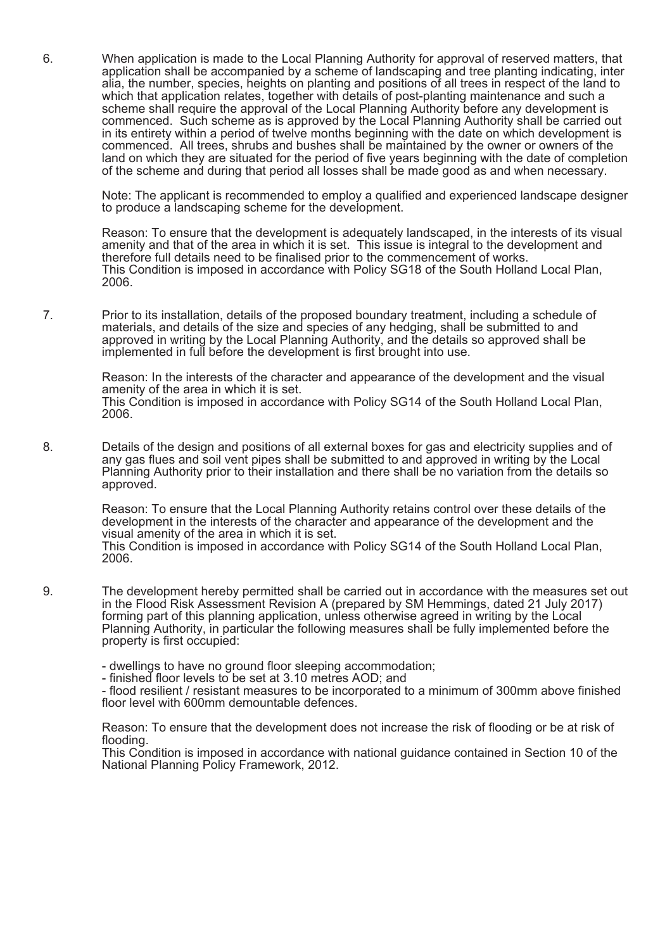6. When application is made to the Local Planning Authority for approval of reserved matters, that application shall be accompanied by a scheme of landscaping and tree planting indicating, inter alia, the number, species, heights on planting and positions of all trees in respect of the land to which that application relates, together with details of post-planting maintenance and such a scheme shall require the approval of the Local Planning Authority before any development is commenced. Such scheme as is approved by the Local Planning Authority shall be carried out in its entirety within a period of twelve months beginning with the date on which development is commenced. All trees, shrubs and bushes shall be maintained by the owner or owners of the land on which they are situated for the period of five years beginning with the date of completion of the scheme and during that period all losses shall be made good as and when necessary.

Note: The applicant is recommended to employ a qualified and experienced landscape designer to produce a landscaping scheme for the development.

Reason: To ensure that the development is adequately landscaped, in the interests of its visual amenity and that of the area in which it is set. This issue is integral to the development and therefore full details need to be finalised prior to the commencement of works. This Condition is imposed in accordance with Policy SG18 of the South Holland Local Plan, 2006.

7. Prior to its installation, details of the proposed boundary treatment, including a schedule of materials, and details of the size and species of any hedging, shall be submitted to and approved in writing by the Local Planning Authority, and the details so approved shall be implemented in full before the development is first brought into use.

> Reason: In the interests of the character and appearance of the development and the visual amenity of the area in which it is set. This Condition is imposed in accordance with Policy SG14 of the South Holland Local Plan, 2006.

8. Details of the design and positions of all external boxes for gas and electricity supplies and of any gas flues and soil vent pipes shall be submitted to and approved in writing by the Local Planning Authority prior to their installation and there shall be no variation from the details so approved.

> Reason: To ensure that the Local Planning Authority retains control over these details of the development in the interests of the character and appearance of the development and the visual amenity of the area in which it is set.

> This Condition is imposed in accordance with Policy SG14 of the South Holland Local Plan, 2006.

9. The development hereby permitted shall be carried out in accordance with the measures set out in the Flood Risk Assessment Revision A (prepared by SM Hemmings, dated 21 July 2017) forming part of this planning application, unless otherwise agreed in writing by the Local Planning Authority, in particular the following measures shall be fully implemented before the property is first occupied:

- dwellings to have no ground floor sleeping accommodation;

- finished floor levels to be set at 3.10 metres AOD; and

- flood resilient / resistant measures to be incorporated to a minimum of 300mm above finished floor level with 600mm demountable defences.

Reason: To ensure that the development does not increase the risk of flooding or be at risk of flooding.

This Condition is imposed in accordance with national guidance contained in Section 10 of the National Planning Policy Framework, 2012.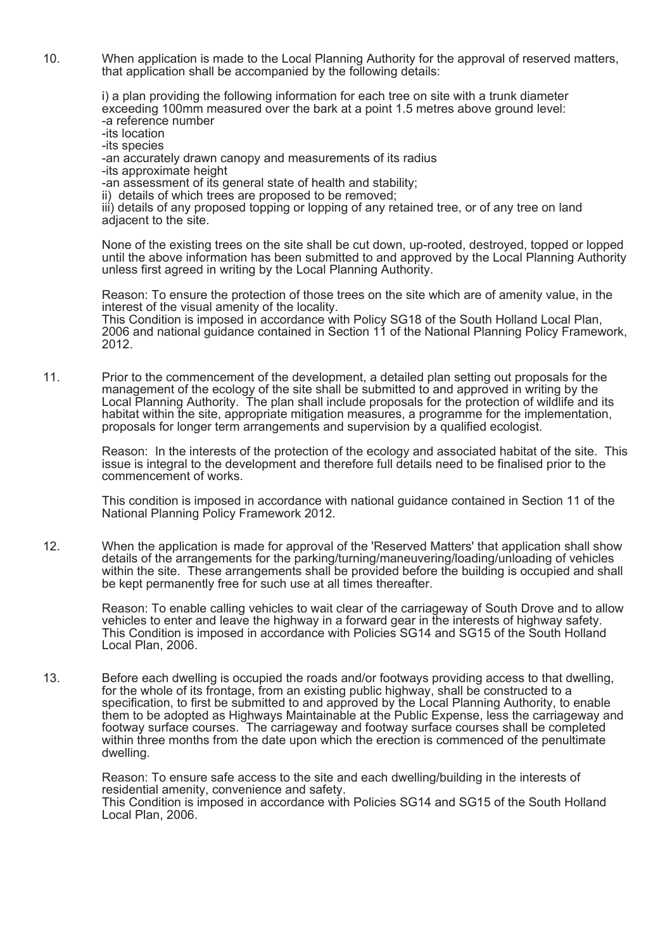10. When application is made to the Local Planning Authority for the approval of reserved matters, that application shall be accompanied by the following details:

i) a plan providing the following information for each tree on site with a trunk diameter exceeding 100mm measured over the bark at a point 1.5 metres above ground level:

-a reference number -its location

-its species

-an accurately drawn canopy and measurements of its radius

-its approximate height

-an assessment of its general state of health and stability;

ii) details of which trees are proposed to be removed;

iii) details of any proposed topping or lopping of any retained tree, or of any tree on land adjacent to the site.

None of the existing trees on the site shall be cut down, up-rooted, destroyed, topped or lopped until the above information has been submitted to and approved by the Local Planning Authority unless first agreed in writing by the Local Planning Authority.

Reason: To ensure the protection of those trees on the site which are of amenity value, in the interest of the visual amenity of the locality. This Condition is imposed in accordance with Policy SG18 of the South Holland Local Plan, 2006 and national guidance contained in Section 11 of the National Planning Policy Framework, 2012.

11. Prior to the commencement of the development, a detailed plan setting out proposals for the management of the ecology of the site shall be submitted to and approved in writing by the Local Planning Authority. The plan shall include proposals for the protection of wildlife and its habitat within the site, appropriate mitigation measures, a programme for the implementation, proposals for longer term arrangements and supervision by a qualified ecologist.

Reason: In the interests of the protection of the ecology and associated habitat of the site. This issue is integral to the development and therefore full details need to be finalised prior to the commencement of works.

This condition is imposed in accordance with national guidance contained in Section 11 of the National Planning Policy Framework 2012.

12. When the application is made for approval of the 'Reserved Matters' that application shall show details of the arrangements for the parking/turning/maneuvering/loading/unloading of vehicles within the site. These arrangements shall be provided before the building is occupied and shall be kept permanently free for such use at all times thereafter.

Reason: To enable calling vehicles to wait clear of the carriageway of South Drove and to allow vehicles to enter and leave the highway in a forward gear in the interests of highway safety. This Condition is imposed in accordance with Policies SG14 and SG15 of the South Holland Local Plan, 2006.

13. Before each dwelling is occupied the roads and/or footways providing access to that dwelling, for the whole of its frontage, from an existing public highway, shall be constructed to a specification, to first be submitted to and approved by the Local Planning Authority, to enable them to be adopted as Highways Maintainable at the Public Expense, less the carriageway and footway surface courses. The carriageway and footway surface courses shall be completed within three months from the date upon which the erection is commenced of the penultimate dwelling.

Reason: To ensure safe access to the site and each dwelling/building in the interests of residential amenity, convenience and safety. This Condition is imposed in accordance with Policies SG14 and SG15 of the South Holland Local Plan, 2006.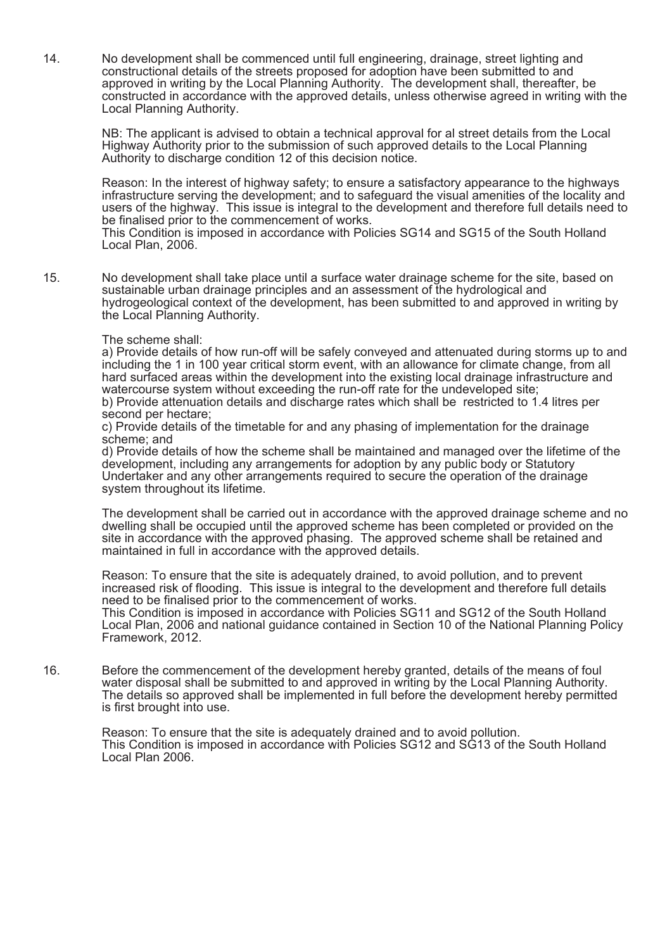14. No development shall be commenced until full engineering, drainage, street lighting and constructional details of the streets proposed for adoption have been submitted to and approved in writing by the Local Planning Authority. The development shall, thereafter, be constructed in accordance with the approved details, unless otherwise agreed in writing with the Local Planning Authority.

NB: The applicant is advised to obtain a technical approval for al street details from the Local Highway Authority prior to the submission of such approved details to the Local Planning Authority to discharge condition 12 of this decision notice.

Reason: In the interest of highway safety; to ensure a satisfactory appearance to the highways infrastructure serving the development; and to safeguard the visual amenities of the locality and users of the highway. This issue is integral to the development and therefore full details need to be finalised prior to the commencement of works.

This Condition is imposed in accordance with Policies SG14 and SG15 of the South Holland Local Plan, 2006.

15. No development shall take place until a surface water drainage scheme for the site, based on sustainable urban drainage principles and an assessment of the hydrological and hydrogeological context of the development, has been submitted to and approved in writing by the Local Planning Authority.

#### The scheme shall:

a) Provide details of how run-off will be safely conveyed and attenuated during storms up to and including the 1 in 100 year critical storm event, with an allowance for climate change, from all hard surfaced areas within the development into the existing local drainage infrastructure and watercourse system without exceeding the run-off rate for the undeveloped site; b) Provide attenuation details and discharge rates which shall be restricted to 1.4 litres per

second per hectare;

c) Provide details of the timetable for and any phasing of implementation for the drainage scheme; and

d) Provide details of how the scheme shall be maintained and managed over the lifetime of the development, including any arrangements for adoption by any public body or Statutory Undertaker and any other arrangements required to secure the operation of the drainage system throughout its lifetime.

The development shall be carried out in accordance with the approved drainage scheme and no dwelling shall be occupied until the approved scheme has been completed or provided on the site in accordance with the approved phasing. The approved scheme shall be retained and maintained in full in accordance with the approved details.

Reason: To ensure that the site is adequately drained, to avoid pollution, and to prevent increased risk of flooding. This issue is integral to the development and therefore full details need to be finalised prior to the commencement of works.

This Condition is imposed in accordance with Policies SG11 and SG12 of the South Holland Local Plan, 2006 and national guidance contained in Section 10 of the National Planning Policy Framework, 2012.

16. Before the commencement of the development hereby granted, details of the means of foul water disposal shall be submitted to and approved in writing by the Local Planning Authority. The details so approved shall be implemented in full before the development hereby permitted is first brought into use.

Reason: To ensure that the site is adequately drained and to avoid pollution. This Condition is imposed in accordance with Policies SG12 and SG13 of the South Holland Local Plan 2006.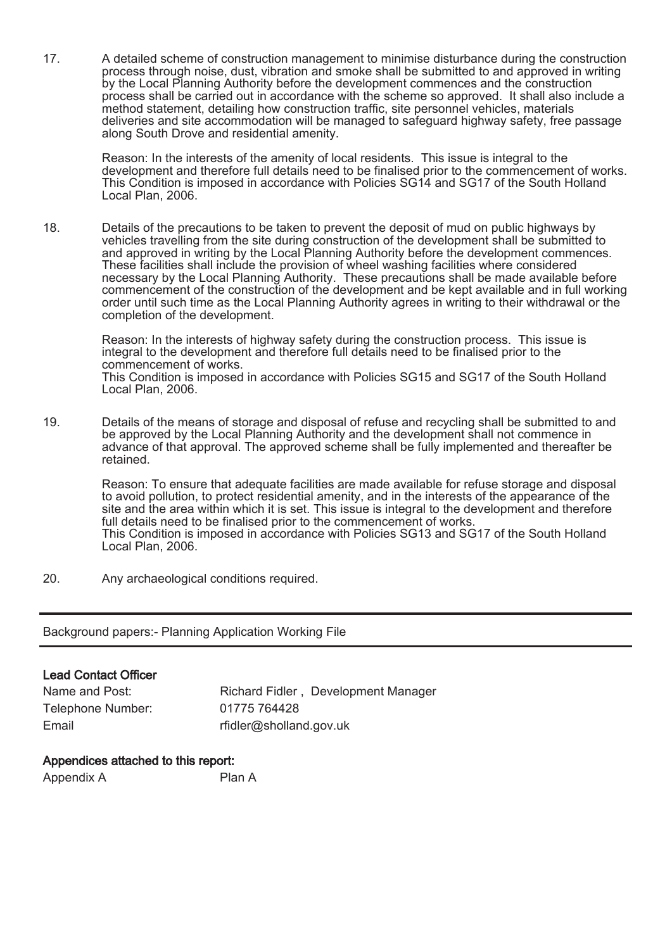17. A detailed scheme of construction management to minimise disturbance during the construction process through noise, dust, vibration and smoke shall be submitted to and approved in writing by the Local Planning Authority before the development commences and the construction process shall be carried out in accordance with the scheme so approved. It shall also include a method statement, detailing how construction traffic, site personnel vehicles, materials deliveries and site accommodation will be managed to safeguard highway safety, free passage along South Drove and residential amenity.

Reason: In the interests of the amenity of local residents. This issue is integral to the development and therefore full details need to be finalised prior to the commencement of works. This Condition is imposed in accordance with Policies SG14 and SG17 of the South Holland Local Plan, 2006.

18. Details of the precautions to be taken to prevent the deposit of mud on public highways by vehicles travelling from the site during construction of the development shall be submitted to and approved in writing by the Local Planning Authority before the development commences. These facilities shall include the provision of wheel washing facilities where considered necessary by the Local Planning Authority. These precautions shall be made available before commencement of the construction of the development and be kept available and in full working order until such time as the Local Planning Authority agrees in writing to their withdrawal or the completion of the development.

Reason: In the interests of highway safety during the construction process. This issue is integral to the development and therefore full details need to be finalised prior to the commencement of works.

This Condition is imposed in accordance with Policies SG15 and SG17 of the South Holland Local Plan, 2006.

19. Details of the means of storage and disposal of refuse and recycling shall be submitted to and be approved by the Local Planning Authority and the development shall not commence in advance of that approval. The approved scheme shall be fully implemented and thereafter be retained.

Reason: To ensure that adequate facilities are made available for refuse storage and disposal to avoid pollution, to protect residential amenity, and in the interests of the appearance of the site and the area within which it is set. This issue is integral to the development and therefore full details need to be finalised prior to the commencement of works. This Condition is imposed in accordance with Policies SG13 and SG17 of the South Holland Local Plan, 2006.

20. Any archaeological conditions required.

Background papers:- Planning Application Working File

# Lead Contact Officer

| Name and Post:    | Richard Fidler, Development Manager |
|-------------------|-------------------------------------|
| Telephone Number: | 01775 764428                        |
| Email             | rfidler@sholland.gov.uk             |

# Appendices attached to this report:

Appendix A Plan A